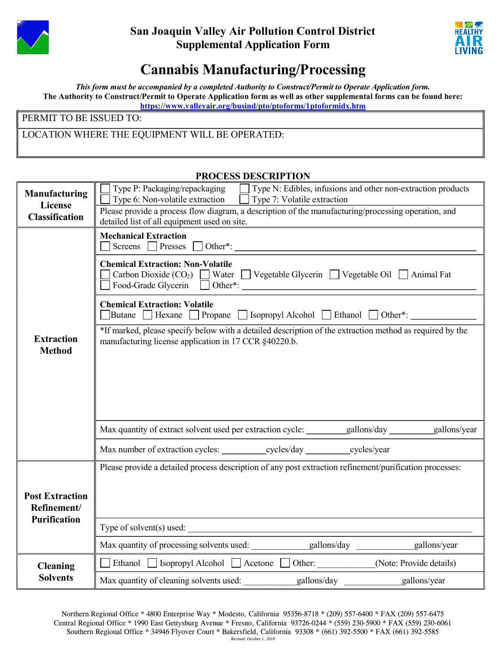

## San Joaquin Valley Air Pollution Control District Supplemental Application Form



## Cannabis Manufacturing/Processing

This form must be accompanied by a completed Authority to Construct/Permit to Operate Application form. The Authority to Construct/Permit to Operate Application form as well as other supplemental forms can be found here: https://www.valleyair.org/busind/pto/ptoforms/1ptoformidx.htm

PERMIT TO BE ISSUED TO:

LOCATION WHERE THE EQUIPMENT WILL BE OPERATED:

| <b>PROCESS DESCRIPTION</b>            |                                                                                                                                                                    |  |  |  |  |  |
|---------------------------------------|--------------------------------------------------------------------------------------------------------------------------------------------------------------------|--|--|--|--|--|
| Manufacturing                         | Type P: Packaging/repackaging<br>Type N: Edibles, infusions and other non-extraction products<br>Type 6: Non-volatile extraction Type 7: Volatile extraction       |  |  |  |  |  |
| License<br><b>Classification</b>      | Please provide a process flow diagram, a description of the manufacturing/processing operation, and<br>detailed list of all equipment used on site.                |  |  |  |  |  |
|                                       | <b>Mechanical Extraction</b><br>$\Box$ Screens $\Box$ Presses $\Box$ Other*:                                                                                       |  |  |  |  |  |
|                                       | <b>Chemical Extraction: Non-Volatile</b><br>$\Box$ Carbon Dioxide (CO <sub>2</sub> ) $\Box$ Water $\Box$ Vegetable Glycerin $\Box$ Vegetable Oil $\Box$ Animal Fat |  |  |  |  |  |
|                                       | <b>Chemical Extraction: Volatile</b><br>$\Box$ Butane $\Box$ Hexane $\Box$ Propane $\Box$ Isopropyl Alcohol $\Box$ Ethanol $\Box$ Other*:                          |  |  |  |  |  |
| <b>Extraction</b><br><b>Method</b>    | *If marked, please specify below with a detailed description of the extraction method as required by the<br>manufacturing license application in 17 CCR §40220.b.  |  |  |  |  |  |
|                                       |                                                                                                                                                                    |  |  |  |  |  |
|                                       | Max quantity of extract solvent used per extraction cycle: ________gallons/day _______gallons/year                                                                 |  |  |  |  |  |
|                                       |                                                                                                                                                                    |  |  |  |  |  |
| <b>Post Extraction</b><br>Refinement/ | Please provide a detailed process description of any post extraction refinement/purification processes:                                                            |  |  |  |  |  |
| <b>Purification</b>                   | Type of solvent(s) used: $\frac{1}{\sqrt{1-\frac{1}{2}}}\left(\frac{1}{2}\right)^{1/2}$                                                                            |  |  |  |  |  |
|                                       |                                                                                                                                                                    |  |  |  |  |  |
| <b>Cleaning</b>                       | □ Ethanol □ Isopropyl Alcohol □ Acetone □ Other: (Note: Provide details)                                                                                           |  |  |  |  |  |
| <b>Solvents</b>                       | Max quantity of cleaning solvents used:<br>gallons/day<br>gallons/year                                                                                             |  |  |  |  |  |